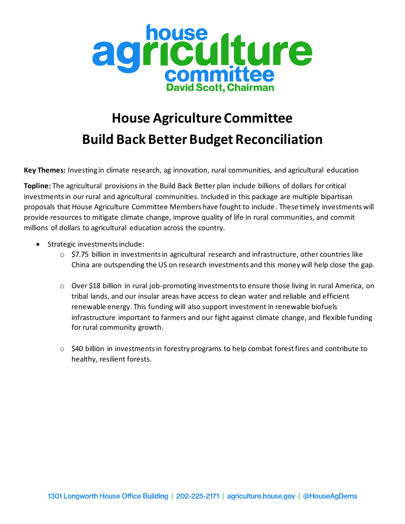

## **House Agriculture Committee Build Back Better Budget Reconciliation**

**Key Themes:** Investing in climate research, ag innovation, rural communities, and agricultural education

**Topline:** The agricultural provisions in the Build Back Better plan include billions of dollars for critical investments in our rural and agricultural communities. Included in this package are multiple bipartisan proposals that House Agriculture Committee Members have fought to include. These timely investments will provide resources to mitigate climate change, improve quality of life in rural communities, and commit millions of dollars to agricultural education across the country.

- Strategic investments include:
	- o \$7.75 billion in investments in agricultural research and infrastructure, other countries like China are outspending the US on research investments and this money will help close the gap.
	- o Over \$18 billion in rural job-promoting investments to ensure those living in rural America, on tribal lands, and our insular areas have access to clean water and reliable and efficient renewable energy. This funding will also support investment in renewable biofuels infrastructure important to farmers and our fight against climate change, and flexible funding for rural community growth.
	- o \$40 billion in investments in forestry programs to help combat forest fires and contribute to healthy, resilient forests.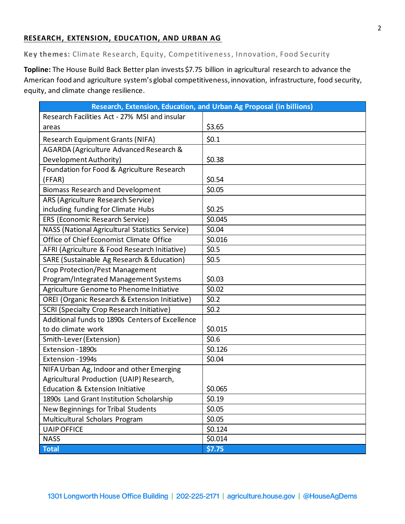## **RESEARCH, EXTENSION, EDUCATION, AND URBAN AG**

**Key themes:** Climate Research, Equity, Competitiveness, Innovation, Food Security

**Topline:** The House Build Back Better plan invests \$7.75 billion in agricultural research to advance the American food and agriculture system's global competitiveness, innovation, infrastructure, food security, equity, and climate change resilience.

| Research, Extension, Education, and Urban Ag Proposal (in billions) |         |
|---------------------------------------------------------------------|---------|
| Research Facilities Act - 27% MSI and insular                       |         |
| areas                                                               | \$3.65  |
| Research Equipment Grants (NIFA)                                    | \$0.1   |
| AGARDA (Agriculture Advanced Research &                             |         |
| Development Authority)                                              | \$0.38  |
| Foundation for Food & Agriculture Research                          |         |
| (FFAR)                                                              | \$0.54  |
| <b>Biomass Research and Development</b>                             | \$0.05  |
| ARS (Agriculture Research Service)                                  |         |
| including funding for Climate Hubs                                  | \$0.25  |
| ERS (Economic Research Service)                                     | \$0.045 |
| NASS (National Agricultural Statistics Service)                     | \$0.04  |
| Office of Chief Economist Climate Office                            | \$0.016 |
| AFRI (Agriculture & Food Research Initiative)                       | \$0.5   |
| SARE (Sustainable Ag Research & Education)                          | \$0.5   |
| <b>Crop Protection/Pest Management</b>                              |         |
| Program/Integrated Management Systems                               | \$0.03  |
| Agriculture Genome to Phenome Initiative                            | \$0.02  |
| OREI (Organic Research & Extension Initiative)                      | \$0.2\$ |
| <b>SCRI (Specialty Crop Research Initiative)</b>                    | \$0.2\$ |
| Additional funds to 1890s Centers of Excellence                     |         |
| to do climate work                                                  | \$0.015 |
| Smith-Lever (Extension)                                             | \$0.6   |
| Extension - 1890s                                                   | \$0.126 |
| Extension - 1994s                                                   | \$0.04  |
| NIFA Urban Ag, Indoor and other Emerging                            |         |
| Agricultural Production (UAIP) Research,                            |         |
| <b>Education &amp; Extension Initiative</b>                         | \$0.065 |
| 1890s Land Grant Institution Scholarship                            | \$0.19  |
| New Beginnings for Tribal Students                                  | \$0.05  |
| Multicultural Scholars Program                                      | \$0.05  |
| <b>UAIP OFFICE</b>                                                  | \$0.124 |
| <b>NASS</b>                                                         | \$0.014 |
| <b>Total</b>                                                        | \$7.75  |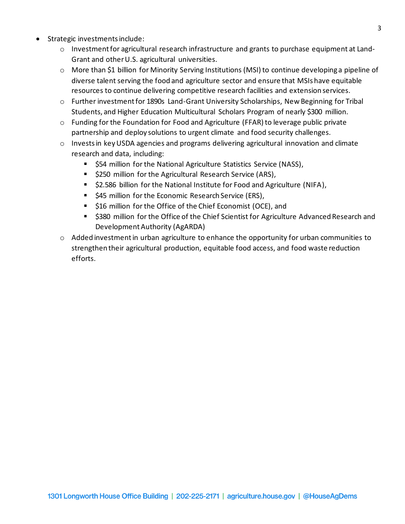- Strategic investments include:
	- o Investment for agricultural research infrastructure and grants to purchase equipment at Land-Grant and other U.S. agricultural universities.
	- $\circ$  More than \$1 billion for Minority Serving Institutions (MSI) to continue developing a pipeline of diverse talent serving the food and agriculture sector and ensure that MSIs have equitable resources to continue delivering competitive research facilities and extension services.
	- o Further investment for 1890s Land-Grant University Scholarships, New Beginning for Tribal Students, and Higher Education Multicultural Scholars Program of nearly \$300 million.
	- $\circ$  Funding for the Foundation for Food and Agriculture (FFAR) to leverage public private partnership and deploy solutions to urgent climate and food security challenges.
	- o Invests in key USDA agencies and programs delivering agricultural innovation and climate research and data, including:
		- \$54 million for the National Agriculture Statistics Service (NASS),
		- \$250 million for the Agricultural Research Service (ARS),
		- \$2.586 billion for the National Institute for Food and Agriculture (NIFA),
		- \$45 million for the Economic Research Service (ERS),
		- \$16 million for the Office of the Chief Economist (OCE), and
		- \$380 million for the Office of the Chief Scientist for Agriculture Advanced Research and Development Authority (AgARDA)
	- $\circ$  Added investment in urban agriculture to enhance the opportunity for urban communities to strengthen their agricultural production, equitable food access, and food waste reduction efforts.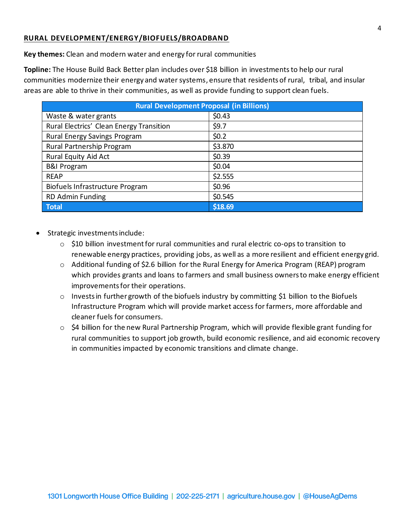## **RURAL DEVELOPMENT/ENERGY/BIOFUELS/BROADBAND**

**Key themes:** Clean and modern water and energy for rural communities

**Topline:** The House Build Back Better plan includes over \$18 billion in investments to help our rural communities modernize their energy and water systems, ensure that residents of rural, tribal, and insular areas are able to thrive in their communities, as well as provide funding to support clean fuels.

| <b>Rural Development Proposal (in Billions)</b> |         |  |
|-------------------------------------------------|---------|--|
| Waste & water grants                            | \$0.43  |  |
| Rural Electrics' Clean Energy Transition        | \$9.7   |  |
| Rural Energy Savings Program                    | \$0.2\$ |  |
| Rural Partnership Program                       | \$3.870 |  |
| <b>Rural Equity Aid Act</b>                     | \$0.39  |  |
| <b>B&amp;I Program</b>                          | \$0.04  |  |
| <b>REAP</b>                                     | \$2.555 |  |
| Biofuels Infrastructure Program                 | \$0.96  |  |
| <b>RD Admin Funding</b>                         | \$0.545 |  |
| <b>Total</b>                                    | \$18.69 |  |

- Strategic investments include:
	- o \$10 billion investment for rural communities and rural electric co-ops to transition to renewable energy practices, providing jobs, as well as a more resilient and efficient energy grid.
	- o Additional funding of \$2.6 billion for the Rural Energy for America Program (REAP) program which provides grants and loans to farmers and small business owners to make energy efficient improvementsfor their operations.
	- $\circ$  Invests in further growth of the biofuels industry by committing \$1 billion to the Biofuels Infrastructure Program which will provide market access for farmers, more affordable and cleaner fuels for consumers.
	- o \$4 billion for the new Rural Partnership Program, which will provide flexible grant funding for rural communities to support job growth, build economic resilience, and aid economic recovery in communities impacted by economic transitions and climate change.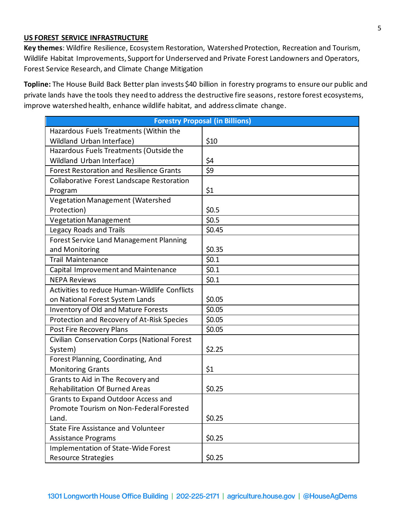## **US FOREST SERVICE INFRASTRUCTURE**

**Key themes**: Wildfire Resilience, Ecosystem Restoration, Watershed Protection, Recreation and Tourism, Wildlife Habitat Improvements, Support for Underserved and Private Forest Landowners and Operators, Forest Service Research, and Climate Change Mitigation

**Topline:** The House Build Back Better plan invests \$40 billion in forestry programs to ensure our public and private lands have the tools they need to address the destructive fire seasons, restore forest ecosystems, improve watershed health, enhance wildlife habitat, and address climate change.

| <b>Forestry Proposal (in Billions)</b>               |                  |
|------------------------------------------------------|------------------|
| Hazardous Fuels Treatments (Within the               |                  |
| Wildland Urban Interface)                            | \$10             |
| Hazardous Fuels Treatments (Outside the              |                  |
| Wildland Urban Interface)                            | \$4              |
| <b>Forest Restoration and Resilience Grants</b>      | \$9              |
| Collaborative Forest Landscape Restoration           |                  |
| Program                                              | \$1              |
| Vegetation Management (Watershed                     |                  |
| Protection)                                          | \$0.5            |
| <b>Vegetation Management</b>                         | \$0.5            |
| Legacy Roads and Trails                              | \$0.45           |
| <b>Forest Service Land Management Planning</b>       |                  |
| and Monitoring                                       | \$0.35           |
| <b>Trail Maintenance</b>                             | $\frac{1}{50.1}$ |
| Capital Improvement and Maintenance                  | \$0.1            |
| <b>NEPA Reviews</b>                                  | \$0.1            |
| <b>Activities to reduce Human-Wildlife Conflicts</b> |                  |
| on National Forest System Lands                      | \$0.05           |
| Inventory of Old and Mature Forests                  | \$0.05           |
| Protection and Recovery of At-Risk Species           | \$0.05           |
| Post Fire Recovery Plans                             | \$0.05           |
| Civilian Conservation Corps (National Forest         |                  |
| System)                                              | \$2.25           |
| Forest Planning, Coordinating, And                   |                  |
| <b>Monitoring Grants</b>                             | \$1              |
| Grants to Aid in The Recovery and                    |                  |
| <b>Rehabilitation Of Burned Areas</b>                | \$0.25           |
| <b>Grants to Expand Outdoor Access and</b>           |                  |
| Promote Tourism on Non-Federal Forested              |                  |
| Land.                                                | \$0.25           |
| State Fire Assistance and Volunteer                  |                  |
| <b>Assistance Programs</b>                           | \$0.25           |
| Implementation of State-Wide Forest                  |                  |
| <b>Resource Strategies</b>                           | \$0.25           |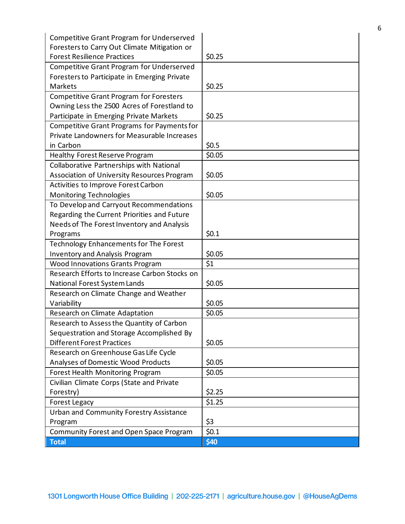| <b>Competitive Grant Program for Underserved</b> |        |
|--------------------------------------------------|--------|
| Foresters to Carry Out Climate Mitigation or     |        |
| <b>Forest Resilience Practices</b>               | \$0.25 |
| Competitive Grant Program for Underserved        |        |
| Foresters to Participate in Emerging Private     |        |
| <b>Markets</b>                                   | \$0.25 |
| <b>Competitive Grant Program for Foresters</b>   |        |
| Owning Less the 2500 Acres of Forestland to      |        |
| Participate in Emerging Private Markets          | \$0.25 |
| Competitive Grant Programs for Payments for      |        |
| Private Landowners for Measurable Increases      |        |
| in Carbon                                        | \$0.5  |
| Healthy Forest Reserve Program                   | \$0.05 |
| Collaborative Partnerships with National         |        |
| Association of University Resources Program      | \$0.05 |
| Activities to Improve Forest Carbon              |        |
| <b>Monitoring Technologies</b>                   | \$0.05 |
| To Develop and Carryout Recommendations          |        |
| Regarding the Current Priorities and Future      |        |
| Needs of The Forest Inventory and Analysis       |        |
| Programs                                         | \$0.1  |
| Technology Enhancements for The Forest           |        |
| <b>Inventory and Analysis Program</b>            | \$0.05 |
| <b>Wood Innovations Grants Program</b>           | \$1    |
| Research Efforts to Increase Carbon Stocks on    |        |
| National Forest System Lands                     | \$0.05 |
| Research on Climate Change and Weather           |        |
| Variability                                      | \$0.05 |
| Research on Climate Adaptation                   | \$0.05 |
| Research to Assess the Quantity of Carbon        |        |
| Sequestration and Storage Accomplished By        |        |
| <b>Different Forest Practices</b>                | \$0.05 |
| Research on Greenhouse Gas Life Cycle            |        |
| Analyses of Domestic Wood Products               | \$0.05 |
| Forest Health Monitoring Program                 | \$0.05 |
| Civilian Climate Corps (State and Private        |        |
| Forestry)                                        | \$2.25 |
| <b>Forest Legacy</b>                             | \$1.25 |
| <b>Urban and Community Forestry Assistance</b>   |        |
| Program                                          | \$3    |
| Community Forest and Open Space Program          | \$0.1  |
| <b>Total</b>                                     | \$40   |